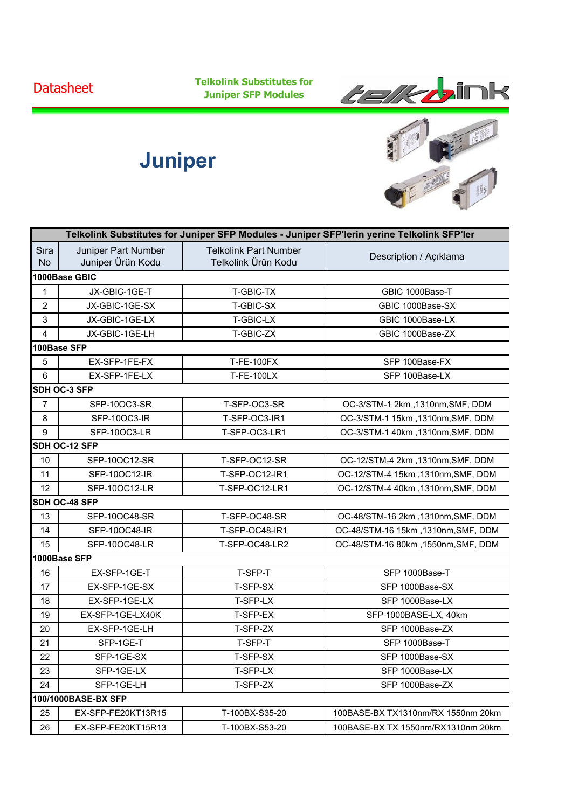**Datasheet** 

**Telkolink Substitutes for Juniper SFP Modules**



## **Juniper**



| Telkolink Substitutes for Juniper SFP Modules - Juniper SFP'lerin yerine Telkolink SFP'ler |                                          |                                                     |                                     |  |  |
|--------------------------------------------------------------------------------------------|------------------------------------------|-----------------------------------------------------|-------------------------------------|--|--|
| Sıra<br><b>No</b>                                                                          | Juniper Part Number<br>Juniper Ürün Kodu | <b>Telkolink Part Number</b><br>Telkolink Ürün Kodu | Description / Açıklama              |  |  |
|                                                                                            | 1000Base GBIC                            |                                                     |                                     |  |  |
| 1                                                                                          | JX-GBIC-1GE-T                            | T-GBIC-TX                                           | GBIC 1000Base-T                     |  |  |
| $\overline{c}$                                                                             | JX-GBIC-1GE-SX                           | T-GBIC-SX                                           | GBIC 1000Base-SX                    |  |  |
| 3                                                                                          | JX-GBIC-1GE-LX                           | T-GBIC-LX                                           | GBIC 1000Base-LX                    |  |  |
| 4                                                                                          | JX-GBIC-1GE-LH                           | T-GBIC-ZX                                           | GBIC 1000Base-ZX                    |  |  |
|                                                                                            | 100Base SFP                              |                                                     |                                     |  |  |
| 5                                                                                          | EX-SFP-1FE-FX                            | <b>T-FE-100FX</b>                                   | SFP 100Base-FX                      |  |  |
| 6                                                                                          | EX-SFP-1FE-LX                            | <b>T-FE-100LX</b>                                   | SFP 100Base-LX                      |  |  |
|                                                                                            | SDH OC-3 SFP                             |                                                     |                                     |  |  |
| $\overline{7}$                                                                             | SFP-10OC3-SR                             | T-SFP-OC3-SR                                        | OC-3/STM-1 2km, 1310nm, SMF, DDM    |  |  |
| 8                                                                                          | SFP-10OC3-IR                             | T-SFP-OC3-IR1                                       | OC-3/STM-1 15km, 1310nm, SMF, DDM   |  |  |
| 9                                                                                          | SFP-10OC3-LR                             | T-SFP-OC3-LR1                                       | OC-3/STM-1 40km, 1310nm, SMF, DDM   |  |  |
|                                                                                            | SDH OC-12 SFP                            |                                                     |                                     |  |  |
| 10                                                                                         | SFP-10OC12-SR                            | T-SFP-OC12-SR                                       | OC-12/STM-4 2km, 1310nm, SMF, DDM   |  |  |
| 11                                                                                         | SFP-10OC12-IR                            | T-SFP-OC12-IR1                                      | OC-12/STM-4 15km, 1310nm, SMF, DDM  |  |  |
| 12                                                                                         | SFP-10OC12-LR                            | T-SFP-OC12-LR1                                      | OC-12/STM-4 40km, 1310nm, SMF, DDM  |  |  |
|                                                                                            | SDH OC-48 SFP                            |                                                     |                                     |  |  |
| 13                                                                                         | SFP-10OC48-SR                            | T-SFP-OC48-SR                                       | OC-48/STM-16 2km, 1310nm, SMF, DDM  |  |  |
| 14                                                                                         | SFP-10OC48-IR                            | T-SFP-OC48-IR1                                      | OC-48/STM-16 15km, 1310nm, SMF, DDM |  |  |
| 15                                                                                         | SFP-10OC48-LR                            | T-SFP-OC48-LR2                                      | OC-48/STM-16 80km, 1550nm, SMF, DDM |  |  |
| 1000Base SFP                                                                               |                                          |                                                     |                                     |  |  |
| 16                                                                                         | EX-SFP-1GE-T                             | T-SFP-T                                             | SFP 1000Base-T                      |  |  |
| 17                                                                                         | EX-SFP-1GE-SX                            | T-SFP-SX                                            | SFP 1000Base-SX                     |  |  |
| 18                                                                                         | EX-SFP-1GE-LX                            | T-SFP-LX                                            | SFP 1000Base-LX                     |  |  |
| 19                                                                                         | EX-SFP-1GE-LX40K                         | T-SFP-EX                                            | SFP 1000BASE-LX, 40km               |  |  |
| 20                                                                                         | EX-SFP-1GE-LH                            | T-SFP-ZX                                            | SFP 1000Base-ZX                     |  |  |
| 21                                                                                         | SFP-1GE-T                                | T-SFP-T                                             | SFP 1000Base-T                      |  |  |
| 22                                                                                         | SFP-1GE-SX                               | T-SFP-SX                                            | SFP 1000Base-SX                     |  |  |
| 23                                                                                         | SFP-1GE-LX                               | T-SFP-LX                                            | SFP 1000Base-LX                     |  |  |
| 24                                                                                         | SFP-1GE-LH                               | T-SFP-ZX                                            | SFP 1000Base-ZX                     |  |  |
|                                                                                            | 100/1000BASE-BX SFP                      |                                                     |                                     |  |  |
| 25                                                                                         | EX-SFP-FE20KT13R15                       | T-100BX-S35-20                                      | 100BASE-BX TX1310nm/RX 1550nm 20km  |  |  |
| 26                                                                                         | EX-SFP-FE20KT15R13                       | T-100BX-S53-20                                      | 100BASE-BX TX 1550nm/RX1310nm 20km  |  |  |